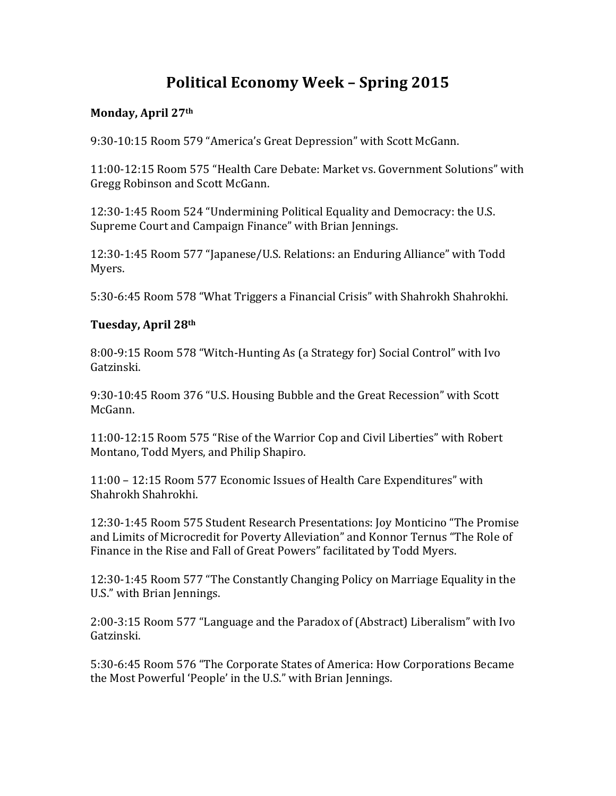# **Political Economy Week - Spring 2015**

#### Monday, April 27<sup>th</sup>

9:30-10:15 Room 579 "America's Great Depression" with Scott McGann.

11:00-12:15 Room 575 "Health Care Debate: Market vs. Government Solutions" with Gregg Robinson and Scott McGann.

12:30-1:45 Room 524 "Undermining Political Equality and Democracy: the U.S. Supreme Court and Campaign Finance" with Brian Jennings.

12:30-1:45 Room 577 "Japanese/U.S. Relations: an Enduring Alliance" with Todd Myers.

5:30-6:45 Room 578 "What Triggers a Financial Crisis" with Shahrokh Shahrokhi.

## **Tuesday, April 28th**

8:00-9:15 Room 578 "Witch-Hunting As (a Strategy for) Social Control" with Ivo Gatzinski.

9:30-10:45 Room 376 "U.S. Housing Bubble and the Great Recession" with Scott McGann.

11:00-12:15 Room 575 "Rise of the Warrior Cop and Civil Liberties" with Robert Montano, Todd Myers, and Philip Shapiro.

11:00 - 12:15 Room 577 Economic Issues of Health Care Expenditures" with Shahrokh Shahrokhi.

12:30-1:45 Room 575 Student Research Presentations: Joy Monticino "The Promise and Limits of Microcredit for Poverty Alleviation" and Konnor Ternus "The Role of Finance in the Rise and Fall of Great Powers" facilitated by Todd Myers.

12:30-1:45 Room 577 "The Constantly Changing Policy on Marriage Equality in the U.S." with Brian Jennings.

2:00-3:15 Room 577 "Language and the Paradox of (Abstract) Liberalism" with Ivo Gatzinski.

5:30-6:45 Room 576 "The Corporate States of America: How Corporations Became the Most Powerful 'People' in the U.S." with Brian Jennings.